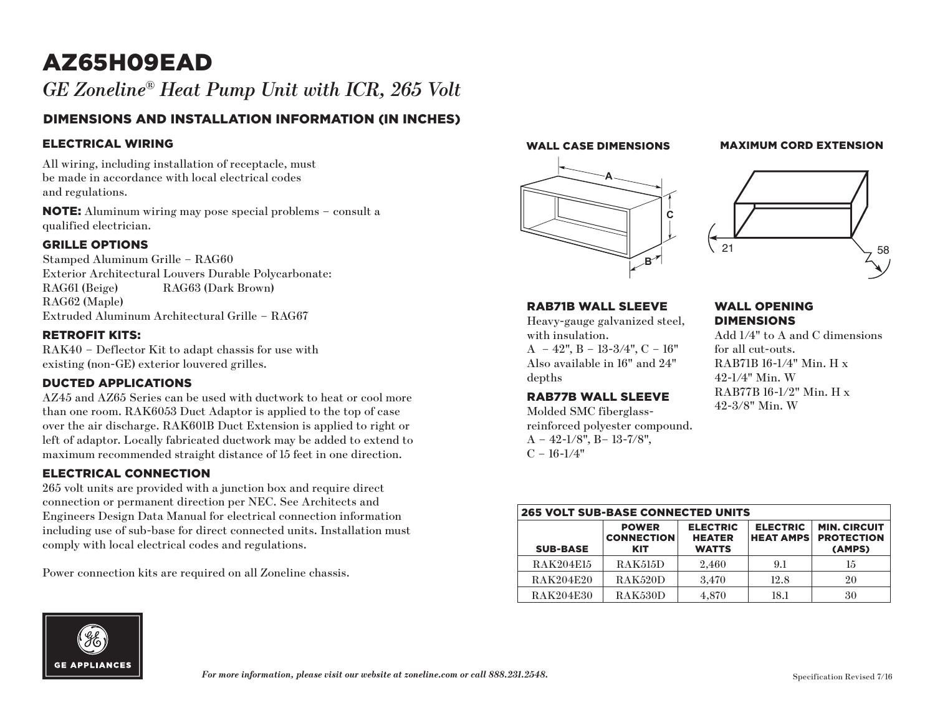# AZ65H09EAD

# *GE Zoneline® Heat Pump Unit with ICR, 265 Volt*

# DIMENSIONS AND INSTALLATION INFORMATION (IN INCHES)

## ELECTRICAL WIRING

All wiring, including installation of receptacle, must be made in accordance with local electrical codes and regulations.

NOTE: Aluminum wiring may pose special problems – consult a qualified electrician.

### GRILLE OPTIONS

Stamped Aluminum Grille – RAG60 Exterior Architectural Louvers Durable Polycarbonate: RAG61 (Beige) RAG63 (Dark Brown) RAG62 (Maple) Extruded Aluminum Architectural Grille – RAG67

### RETROFIT KITS:

RAK40 – Deflector Kit to adapt chassis for use with existing (non-GE) exterior louvered grilles.

# DUCTED APPLICATIONS

AZ45 and AZ65 Series can be used with ductwork to heat or cool more than one room. RAK6053 Duct Adaptor is applied to the top of case over the air discharge. RAK601B Duct Extension is applied to right or left of adaptor. Locally fabricated ductwork may be added to extend to maximum recommended straight distance of 15 feet in one direction.

### ELECTRICAL CONNECTION

265 volt units are provided with a junction box and require direct connection or permanent direction per NEC. See Architects and Engineers Design Data Manual for electrical connection information including use of sub-base for direct connected units. Installation must comply with local electrical codes and regulations.

Power connection kits are required on all Zoneline chassis.

#### WALL CASE DIMENSIONS

# **MAXIMUM CORD EXTENSION**





#### RAB71B WALL SLEEVE

Heavy-gauge galvanized steel, with insulation.  $A - 42$ ",  $B - 13-3/4$ ",  $C - 16$ " Also available in 16" and 24" depths

#### RAB77B WALL SLEEVE

Molded SMC fiberglassreinforced polyester compound.  $A - 42 - 1/8$ ",  $B - 13 - 7/8$ ",  $C - 16 - 1/4"$ 

#### WALL OPENING **DIMENSIONS**

Add 1/4" to A and C dimensions for all cut-outs. RAB71B 16-1/4" Min. H x 42-1/4" Min. W RAB77B 16-1/2" Min. H x 42-3/8" Min. W

| <b>265 VOLT SUB-BASE CONNECTED UNITS</b> |                                                 |                                                  |                                     |                                                    |
|------------------------------------------|-------------------------------------------------|--------------------------------------------------|-------------------------------------|----------------------------------------------------|
| <b>SUB-BASE</b>                          | <b>POWER</b><br><b>CONNECTION</b><br><b>KIT</b> | <b>ELECTRIC</b><br><b>HEATER</b><br><b>WATTS</b> | <b>ELECTRIC</b><br><b>HEAT AMPS</b> | <b>MIN. CIRCUIT</b><br><b>PROTECTION</b><br>(AMPS) |
| <b>RAK204E15</b>                         | <b>RAK515D</b>                                  | 2.460                                            | 9.1                                 | 15                                                 |
| <b>RAK204E20</b>                         | RAK520D                                         | 3.470                                            | 12.8                                | 20                                                 |
| <b>RAK204E30</b>                         | RAK530D                                         | 4.870                                            | 18.1                                | 30                                                 |